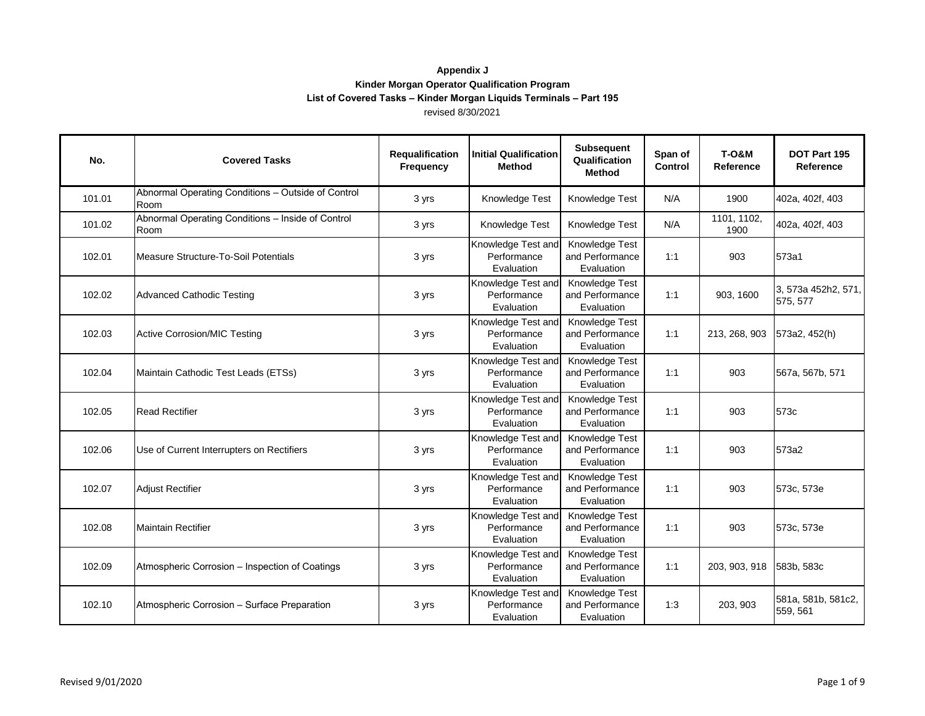| No.    | <b>Covered Tasks</b>                                       | Requalification<br>Frequency | <b>Initial Qualification</b><br>Method          | Subsequent<br>Qualification<br><b>Method</b>    | Span of<br>Control | <b>T-0&amp;M</b><br>Reference | DOT Part 195<br>Reference       |
|--------|------------------------------------------------------------|------------------------------|-------------------------------------------------|-------------------------------------------------|--------------------|-------------------------------|---------------------------------|
| 101.01 | Abnormal Operating Conditions - Outside of Control<br>Room | 3 yrs                        | Knowledge Test                                  | Knowledge Test                                  | N/A                | 1900                          | 402a, 402f, 403                 |
| 101.02 | Abnormal Operating Conditions - Inside of Control<br>Room  | 3 yrs                        | Knowledge Test                                  | Knowledge Test                                  | N/A                | 1101, 1102,<br>1900           | 402a, 402f, 403                 |
| 102.01 | Measure Structure-To-Soil Potentials                       | 3 yrs                        | Knowledge Test and<br>Performance<br>Evaluation | Knowledge Test<br>and Performance<br>Evaluation | 1:1                | 903                           | 573a1                           |
| 102.02 | <b>Advanced Cathodic Testing</b>                           | 3 yrs                        | Knowledge Test and<br>Performance<br>Evaluation | Knowledge Test<br>and Performance<br>Evaluation | 1:1                | 903, 1600                     | 3, 573a 452h2, 571,<br>575, 577 |
| 102.03 | <b>Active Corrosion/MIC Testing</b>                        | 3 yrs                        | Knowledge Test and<br>Performance<br>Evaluation | Knowledge Test<br>and Performance<br>Evaluation | 1:1                | 213, 268, 903                 | 573a2, 452(h)                   |
| 102.04 | Maintain Cathodic Test Leads (ETSs)                        | 3 yrs                        | Knowledge Test and<br>Performance<br>Evaluation | Knowledge Test<br>and Performance<br>Evaluation | 1:1                | 903                           | 567a, 567b, 571                 |
| 102.05 | <b>Read Rectifier</b>                                      | 3 yrs                        | Knowledge Test and<br>Performance<br>Evaluation | Knowledge Test<br>and Performance<br>Evaluation | 1:1                | 903                           | 573c                            |
| 102.06 | Use of Current Interrupters on Rectifiers                  | 3 yrs                        | Knowledge Test and<br>Performance<br>Evaluation | Knowledge Test<br>and Performance<br>Evaluation | 1:1                | 903                           | 573a2                           |
| 102.07 | <b>Adjust Rectifier</b>                                    | 3 yrs                        | Knowledge Test and<br>Performance<br>Evaluation | Knowledge Test<br>and Performance<br>Evaluation | 1:1                | 903                           | 573c, 573e                      |
| 102.08 | <b>Maintain Rectifier</b>                                  | 3 yrs                        | Knowledge Test and<br>Performance<br>Evaluation | Knowledge Test<br>and Performance<br>Evaluation | 1:1                | 903                           | 573c, 573e                      |
| 102.09 | Atmospheric Corrosion - Inspection of Coatings             | 3 yrs                        | Knowledge Test and<br>Performance<br>Evaluation | Knowledge Test<br>and Performance<br>Evaluation | 1:1                | 203, 903, 918                 | 583b, 583c                      |
| 102.10 | Atmospheric Corrosion - Surface Preparation                | 3 yrs                        | Knowledge Test and<br>Performance<br>Evaluation | Knowledge Test<br>and Performance<br>Evaluation | 1:3                | 203, 903                      | 581a, 581b, 581c2,<br>559, 561  |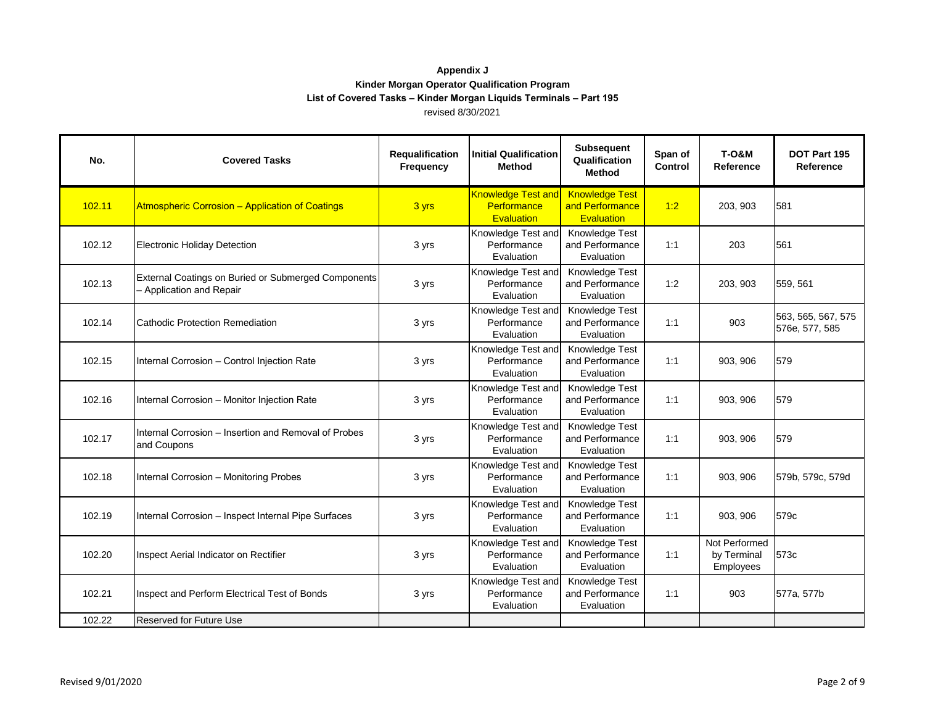| No.    | <b>Covered Tasks</b>                                                            | Requalification<br>Frequency | <b>Initial Qualification</b><br><b>Method</b>          | <b>Subsequent</b><br>Qualification<br>Method                  | Span of<br>Control | <b>T-0&amp;M</b><br>Reference             | DOT Part 195<br>Reference            |
|--------|---------------------------------------------------------------------------------|------------------------------|--------------------------------------------------------|---------------------------------------------------------------|--------------------|-------------------------------------------|--------------------------------------|
| 102.11 | <b>Atmospheric Corrosion - Application of Coatings</b>                          | 3 yrs                        | <b>Knowledge Test and</b><br>Performance<br>Evaluation | <b>Knowledge Test</b><br>and Performance<br><b>Evaluation</b> | 1:2                | 203, 903                                  | 581                                  |
| 102.12 | Electronic Holiday Detection                                                    | 3 yrs                        | Knowledge Test and<br>Performance<br>Evaluation        | Knowledge Test<br>and Performance<br>Evaluation               | 1:1                | 203                                       | 561                                  |
| 102.13 | External Coatings on Buried or Submerged Components<br>- Application and Repair | 3 yrs                        | Knowledge Test and<br>Performance<br>Evaluation        | Knowledge Test<br>and Performance<br>Evaluation               | 1:2                | 203, 903                                  | 559, 561                             |
| 102.14 | Cathodic Protection Remediation                                                 | 3 yrs                        | Knowledge Test and<br>Performance<br>Evaluation        | Knowledge Test<br>and Performance<br>Evaluation               | 1:1                | 903                                       | 563, 565, 567, 575<br>576e, 577, 585 |
| 102.15 | Internal Corrosion - Control Injection Rate                                     | 3 yrs                        | Knowledge Test and<br>Performance<br>Evaluation        | Knowledge Test<br>and Performance<br>Evaluation               | 1:1                | 903, 906                                  | 579                                  |
| 102.16 | Internal Corrosion - Monitor Injection Rate                                     | 3 yrs                        | Knowledge Test and<br>Performance<br>Evaluation        | Knowledge Test<br>and Performance<br>Evaluation               | 1:1                | 903, 906                                  | 579                                  |
| 102.17 | Internal Corrosion – Insertion and Removal of Probes<br>and Coupons             | 3 yrs                        | Knowledge Test and<br>Performance<br>Evaluation        | Knowledge Test<br>and Performance<br>Evaluation               | 1:1                | 903, 906                                  | 579                                  |
| 102.18 | Internal Corrosion - Monitoring Probes                                          | 3 yrs                        | Knowledge Test and<br>Performance<br>Evaluation        | Knowledge Test<br>and Performance<br>Evaluation               | 1:1                | 903, 906                                  | 579b, 579c, 579d                     |
| 102.19 | Internal Corrosion - Inspect Internal Pipe Surfaces                             | 3 yrs                        | Knowledge Test and<br>Performance<br>Evaluation        | Knowledge Test<br>and Performance<br>Evaluation               | 1:1                | 903, 906                                  | 579c                                 |
| 102.20 | Inspect Aerial Indicator on Rectifier                                           | 3 yrs                        | Knowledge Test and<br>Performance<br>Evaluation        | Knowledge Test<br>and Performance<br>Evaluation               | 1:1                | Not Performed<br>by Terminal<br>Employees | 573c                                 |
| 102.21 | Inspect and Perform Electrical Test of Bonds                                    | 3 yrs                        | Knowledge Test and<br>Performance<br>Evaluation        | Knowledge Test<br>and Performance<br>Evaluation               | 1:1                | 903                                       | 577a, 577b                           |
| 102.22 | <b>Reserved for Future Use</b>                                                  |                              |                                                        |                                                               |                    |                                           |                                      |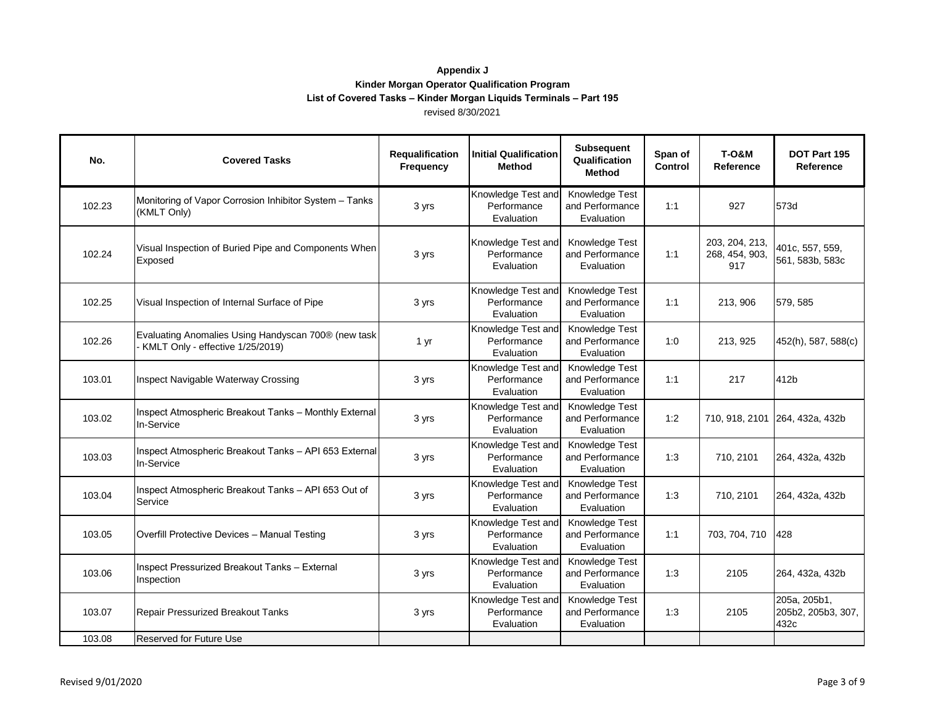| No.    | <b>Covered Tasks</b>                                                                    | Requalification<br>Frequency | <b>Initial Qualification</b><br>Method          | <b>Subsequent</b><br>Qualification<br><b>Method</b> | Span of<br>Control | <b>T-0&amp;M</b><br>Reference           | DOT Part 195<br>Reference                  |
|--------|-----------------------------------------------------------------------------------------|------------------------------|-------------------------------------------------|-----------------------------------------------------|--------------------|-----------------------------------------|--------------------------------------------|
| 102.23 | Monitoring of Vapor Corrosion Inhibitor System - Tanks<br>(KMLT Only)                   | 3 yrs                        | Knowledge Test and<br>Performance<br>Evaluation | Knowledge Test<br>and Performance<br>Evaluation     | 1:1                | 927                                     | 573d                                       |
| 102.24 | Visual Inspection of Buried Pipe and Components When<br>Exposed                         | 3 yrs                        | Knowledge Test and<br>Performance<br>Evaluation | Knowledge Test<br>and Performance<br>Evaluation     | 1:1                | 203, 204, 213,<br>268, 454, 903,<br>917 | 401c, 557, 559,<br>561, 583b, 583c         |
| 102.25 | Visual Inspection of Internal Surface of Pipe                                           | 3 yrs                        | Knowledge Test and<br>Performance<br>Evaluation | Knowledge Test<br>and Performance<br>Evaluation     | 1:1                | 213, 906                                | 579, 585                                   |
| 102.26 | Evaluating Anomalies Using Handyscan 700® (new task<br>KMLT Only - effective 1/25/2019) | 1 yr                         | Knowledge Test and<br>Performance<br>Evaluation | Knowledge Test<br>and Performance<br>Evaluation     | 1:0                | 213, 925                                | 452(h), 587, 588(c)                        |
| 103.01 | Inspect Navigable Waterway Crossing                                                     | 3 yrs                        | Knowledge Test and<br>Performance<br>Evaluation | Knowledge Test<br>and Performance<br>Evaluation     | 1:1                | 217                                     | 412b                                       |
| 103.02 | Inspect Atmospheric Breakout Tanks - Monthly External<br>In-Service                     | 3 yrs                        | Knowledge Test and<br>Performance<br>Evaluation | Knowledge Test<br>and Performance<br>Evaluation     | 1:2                | 710, 918, 2101                          | 264, 432a, 432b                            |
| 103.03 | Inspect Atmospheric Breakout Tanks - API 653 External<br>In-Service                     | 3 yrs                        | Knowledge Test and<br>Performance<br>Evaluation | Knowledge Test<br>and Performance<br>Evaluation     | 1:3                | 710, 2101                               | 264, 432a, 432b                            |
| 103.04 | Inspect Atmospheric Breakout Tanks - API 653 Out of<br>Service                          | 3 yrs                        | Knowledge Test and<br>Performance<br>Evaluation | Knowledge Test<br>and Performance<br>Evaluation     | 1:3                | 710, 2101                               | 264, 432a, 432b                            |
| 103.05 | Overfill Protective Devices - Manual Testing                                            | 3 yrs                        | Knowledge Test and<br>Performance<br>Evaluation | Knowledge Test<br>and Performance<br>Evaluation     | 1:1                | 703, 704, 710                           | 428                                        |
| 103.06 | Inspect Pressurized Breakout Tanks - External<br>Inspection                             | 3 yrs                        | Knowledge Test and<br>Performance<br>Evaluation | Knowledge Test<br>and Performance<br>Evaluation     | 1:3                | 2105                                    | 264, 432a, 432b                            |
| 103.07 | Repair Pressurized Breakout Tanks                                                       | 3 yrs                        | Knowledge Test and<br>Performance<br>Evaluation | Knowledge Test<br>and Performance<br>Evaluation     | 1:3                | 2105                                    | 205a, 205b1,<br>205b2, 205b3, 307,<br>432c |
| 103.08 | Reserved for Future Use                                                                 |                              |                                                 |                                                     |                    |                                         |                                            |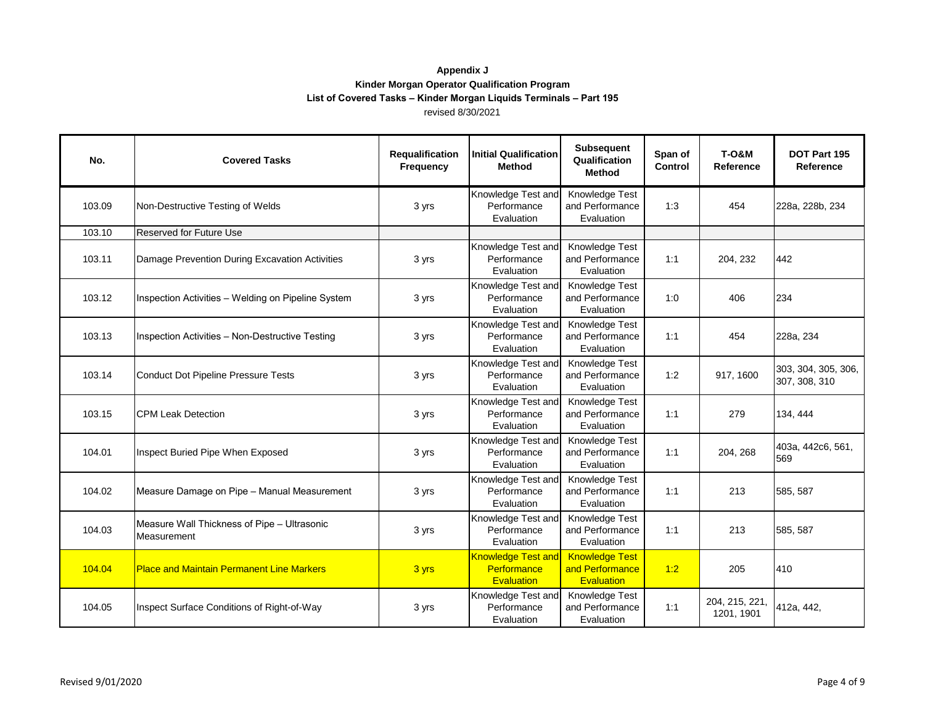| No.    | <b>Covered Tasks</b>                                       | Requalification<br>Frequency | <b>Initial Qualification</b><br><b>Method</b>                 | <b>Subsequent</b><br>Qualification<br>Method                  | Span of<br>Control | <b>T-0&amp;M</b><br>Reference | DOT Part 195<br>Reference            |
|--------|------------------------------------------------------------|------------------------------|---------------------------------------------------------------|---------------------------------------------------------------|--------------------|-------------------------------|--------------------------------------|
| 103.09 | Non-Destructive Testing of Welds                           | 3 yrs                        | Knowledge Test and<br>Performance<br>Evaluation               | Knowledge Test<br>and Performance<br>Evaluation               | 1:3                | 454                           | 228a, 228b, 234                      |
| 103.10 | <b>Reserved for Future Use</b>                             |                              |                                                               |                                                               |                    |                               |                                      |
| 103.11 | Damage Prevention During Excavation Activities             | 3 yrs                        | Knowledge Test and<br>Performance<br>Evaluation               | Knowledge Test<br>and Performance<br>Evaluation               | 1:1                | 204, 232                      | 442                                  |
| 103.12 | Inspection Activities - Welding on Pipeline System         | 3 yrs                        | Knowledge Test and<br>Performance<br>Evaluation               | Knowledge Test<br>and Performance<br>Evaluation               | 1:0                | 406                           | 234                                  |
| 103.13 | Inspection Activities - Non-Destructive Testing            | 3 yrs                        | Knowledge Test and<br>Performance<br>Evaluation               | Knowledge Test<br>and Performance<br>Evaluation               | 1:1                | 454                           | 228a, 234                            |
| 103.14 | <b>Conduct Dot Pipeline Pressure Tests</b>                 | 3 yrs                        | Knowledge Test and<br>Performance<br>Evaluation               | Knowledge Test<br>and Performance<br>Evaluation               | 1:2                | 917, 1600                     | 303, 304, 305, 306,<br>307, 308, 310 |
| 103.15 | <b>CPM Leak Detection</b>                                  | 3 yrs                        | Knowledge Test and<br>Performance<br>Evaluation               | Knowledge Test<br>and Performance<br>Evaluation               | 1:1                | 279                           | 134, 444                             |
| 104.01 | Inspect Buried Pipe When Exposed                           | 3 yrs                        | Knowledge Test and<br>Performance<br>Evaluation               | Knowledge Test<br>and Performance<br>Evaluation               | 1:1                | 204, 268                      | 403а, 442с6, 561,<br>569             |
| 104.02 | Measure Damage on Pipe - Manual Measurement                | 3 yrs                        | Knowledge Test and<br>Performance<br>Evaluation               | Knowledge Test<br>and Performance<br>Evaluation               | 1:1                | 213                           | 585, 587                             |
| 104.03 | Measure Wall Thickness of Pipe - Ultrasonic<br>Measurement | 3 yrs                        | Knowledge Test and<br>Performance<br>Evaluation               | Knowledge Test<br>and Performance<br>Evaluation               | 1:1                | 213                           | 585, 587                             |
| 104.04 | <b>Place and Maintain Permanent Line Markers</b>           | 3 yrs                        | <b>Knowledge Test and</b><br>Performance<br><b>Evaluation</b> | <b>Knowledge Test</b><br>and Performance<br><b>Evaluation</b> | 1:2                | 205                           | 410                                  |
| 104.05 | Inspect Surface Conditions of Right-of-Way                 | 3 yrs                        | Knowledge Test and<br>Performance<br>Evaluation               | Knowledge Test<br>and Performance<br>Evaluation               | 1:1                | 204, 215, 221,<br>1201, 1901  | 412a, 442,                           |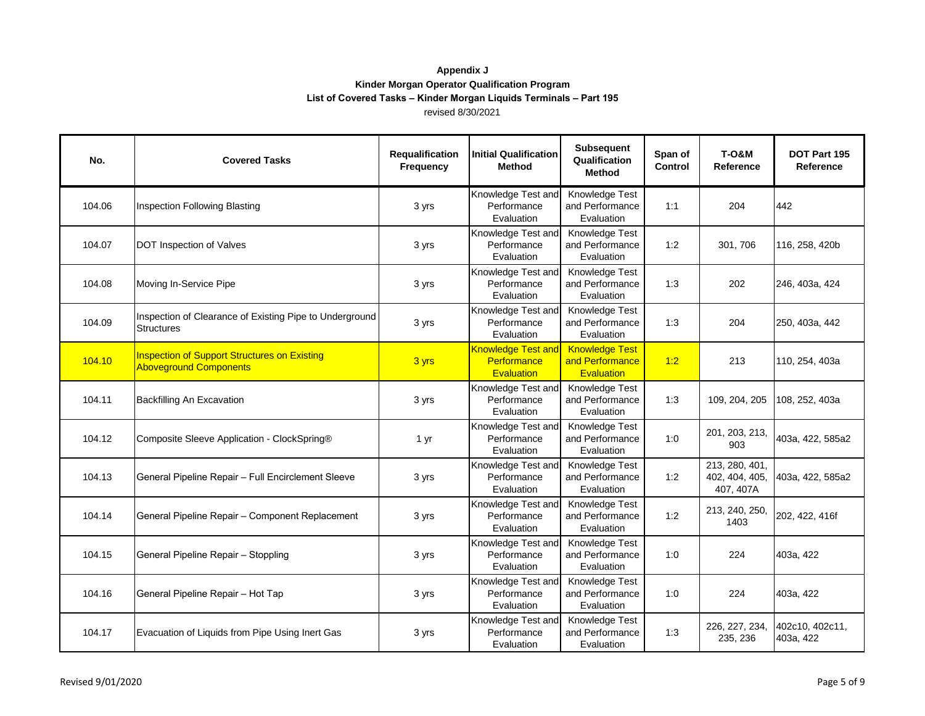| No.    | <b>Covered Tasks</b>                                                                 | Requalification<br><b>Frequency</b> | <b>Initial Qualification</b><br><b>Method</b>          | <b>Subsequent</b><br>Qualification<br><b>Method</b>           | Span of<br><b>Control</b> | <b>T-0&amp;M</b><br>Reference                 | DOT Part 195<br>Reference    |
|--------|--------------------------------------------------------------------------------------|-------------------------------------|--------------------------------------------------------|---------------------------------------------------------------|---------------------------|-----------------------------------------------|------------------------------|
| 104.06 | Inspection Following Blasting                                                        | 3 yrs                               | Knowledge Test and<br>Performance<br>Evaluation        | Knowledge Test<br>and Performance<br>Evaluation               | 1:1                       | 204                                           | 442                          |
| 104.07 | DOT Inspection of Valves                                                             | 3 yrs                               | Knowledge Test and<br>Performance<br>Evaluation        | Knowledge Test<br>and Performance<br>Evaluation               | 1:2                       | 301, 706                                      | 116, 258, 420b               |
| 104.08 | Moving In-Service Pipe                                                               | 3 yrs                               | Knowledge Test and<br>Performance<br>Evaluation        | Knowledge Test<br>and Performance<br>Evaluation               | 1:3                       | 202                                           | 246, 403a, 424               |
| 104.09 | Inspection of Clearance of Existing Pipe to Underground<br><b>Structures</b>         | 3 yrs                               | Knowledge Test and<br>Performance<br>Evaluation        | Knowledge Test<br>and Performance<br>Evaluation               | 1:3                       | 204                                           | 250, 403a, 442               |
| 104.10 | <b>Inspection of Support Structures on Existing</b><br><b>Aboveground Components</b> | 3 yrs                               | <b>Knowledge Test and</b><br>Performance<br>Evaluation | <b>Knowledge Test</b><br>and Performance<br><b>Evaluation</b> | 1:2                       | 213                                           | 110, 254, 403a               |
| 104.11 | Backfilling An Excavation                                                            | 3 yrs                               | Knowledge Test and<br>Performance<br>Evaluation        | Knowledge Test<br>and Performance<br>Evaluation               | 1:3                       | 109, 204, 205                                 | 108, 252, 403a               |
| 104.12 | Composite Sleeve Application - ClockSpring®                                          | 1 yr                                | Knowledge Test and<br>Performance<br>Evaluation        | Knowledge Test<br>and Performance<br>Evaluation               | 1:0                       | 201, 203, 213,<br>903                         | 403a, 422, 585a2             |
| 104.13 | General Pipeline Repair - Full Encirclement Sleeve                                   | 3 yrs                               | Knowledge Test and<br>Performance<br>Evaluation        | Knowledge Test<br>and Performance<br>Evaluation               | 1:2                       | 213, 280, 401,<br>402, 404, 405,<br>407, 407A | 403a, 422, 585a2             |
| 104.14 | General Pipeline Repair - Component Replacement                                      | 3 yrs                               | Knowledge Test and<br>Performance<br>Evaluation        | Knowledge Test<br>and Performance<br>Evaluation               | 1:2                       | 213, 240, 250,<br>1403                        | 202, 422, 416f               |
| 104.15 | General Pipeline Repair - Stoppling                                                  | 3 yrs                               | Knowledge Test and<br>Performance<br>Evaluation        | Knowledge Test<br>and Performance<br>Evaluation               | 1:0                       | 224                                           | 403a, 422                    |
| 104.16 | General Pipeline Repair - Hot Tap                                                    | 3 yrs                               | Knowledge Test and<br>Performance<br>Evaluation        | Knowledge Test<br>and Performance<br>Evaluation               | 1:0                       | 224                                           | 403a, 422                    |
| 104.17 | Evacuation of Liquids from Pipe Using Inert Gas                                      | 3 yrs                               | Knowledge Test and<br>Performance<br>Evaluation        | Knowledge Test<br>and Performance<br>Evaluation               | 1:3                       | 226, 227, 234,<br>235, 236                    | 402c10, 402c11,<br>403a, 422 |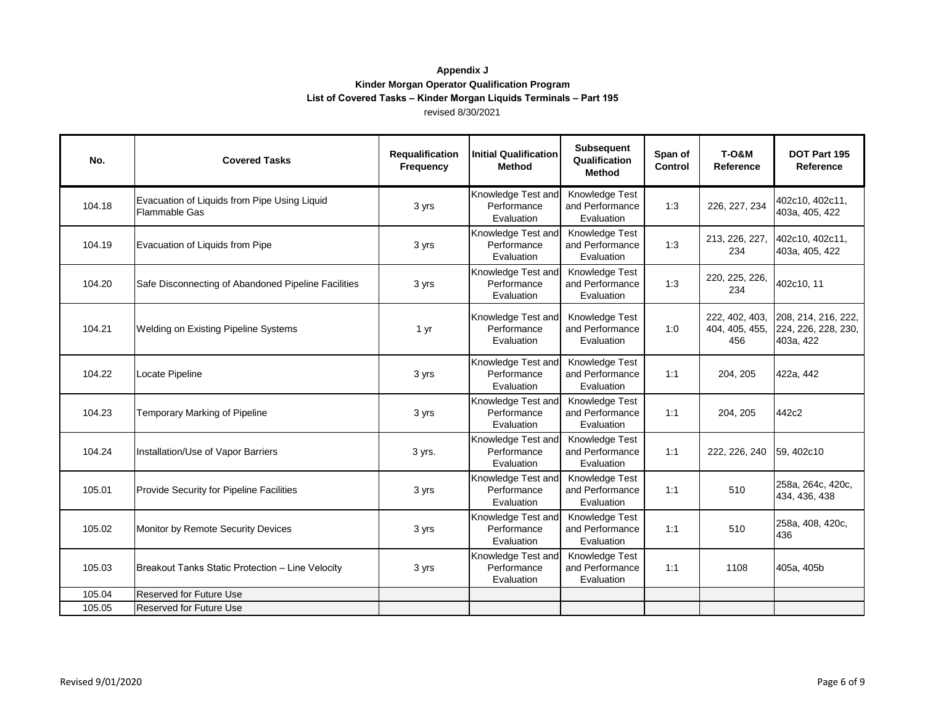| No.    | <b>Covered Tasks</b>                                                 | Requalification<br><b>Frequency</b> | <b>Initial Qualification</b><br>Method          | <b>Subsequent</b><br>Qualification<br>Method    | Span of<br>Control | <b>T-0&amp;M</b><br>Reference           | DOT Part 195<br>Reference                               |
|--------|----------------------------------------------------------------------|-------------------------------------|-------------------------------------------------|-------------------------------------------------|--------------------|-----------------------------------------|---------------------------------------------------------|
| 104.18 | Evacuation of Liquids from Pipe Using Liquid<br><b>Flammable Gas</b> | 3 yrs                               | Knowledge Test and<br>Performance<br>Evaluation | Knowledge Test<br>and Performance<br>Evaluation | 1:3                | 226, 227, 234                           | 402c10, 402c11,<br>403a, 405, 422                       |
| 104.19 | Evacuation of Liquids from Pipe                                      | 3 yrs                               | Knowledge Test and<br>Performance<br>Evaluation | Knowledge Test<br>and Performance<br>Evaluation | 1:3                | 213, 226, 227,<br>234                   | 402c10, 402c11,<br>403a, 405, 422                       |
| 104.20 | Safe Disconnecting of Abandoned Pipeline Facilities                  | 3 yrs                               | Knowledge Test and<br>Performance<br>Evaluation | Knowledge Test<br>and Performance<br>Evaluation | 1:3                | 220, 225, 226,<br>234                   | 402c10, 11                                              |
| 104.21 | Welding on Existing Pipeline Systems                                 | 1 yr                                | Knowledge Test and<br>Performance<br>Evaluation | Knowledge Test<br>and Performance<br>Evaluation | 1:0                | 222, 402, 403,<br>404, 405, 455,<br>456 | 208, 214, 216, 222,<br>224, 226, 228, 230,<br>403a, 422 |
| 104.22 | Locate Pipeline                                                      | 3 yrs                               | Knowledge Test and<br>Performance<br>Evaluation | Knowledge Test<br>and Performance<br>Evaluation | 1:1                | 204, 205                                | 422a, 442                                               |
| 104.23 | <b>Temporary Marking of Pipeline</b>                                 | 3 yrs                               | Knowledge Test and<br>Performance<br>Evaluation | Knowledge Test<br>and Performance<br>Evaluation | 1:1                | 204, 205                                | 442c2                                                   |
| 104.24 | Installation/Use of Vapor Barriers                                   | 3 yrs.                              | Knowledge Test and<br>Performance<br>Evaluation | Knowledge Test<br>and Performance<br>Evaluation | 1:1                | 222, 226, 240                           | 59, 402c10                                              |
| 105.01 | <b>Provide Security for Pipeline Facilities</b>                      | 3 yrs                               | Knowledge Test and<br>Performance<br>Evaluation | Knowledge Test<br>and Performance<br>Evaluation | 1:1                | 510                                     | 258a, 264c, 420c,<br>434, 436, 438                      |
| 105.02 | Monitor by Remote Security Devices                                   | 3 yrs                               | Knowledge Test and<br>Performance<br>Evaluation | Knowledge Test<br>and Performance<br>Evaluation | 1:1                | 510                                     | 258a, 408, 420c,<br>436                                 |
| 105.03 | Breakout Tanks Static Protection - Line Velocity                     | 3 yrs                               | Knowledge Test and<br>Performance<br>Evaluation | Knowledge Test<br>and Performance<br>Evaluation | 1:1                | 1108                                    | 405a, 405b                                              |
| 105.04 | <b>Reserved for Future Use</b>                                       |                                     |                                                 |                                                 |                    |                                         |                                                         |
| 105.05 | Reserved for Future Use                                              |                                     |                                                 |                                                 |                    |                                         |                                                         |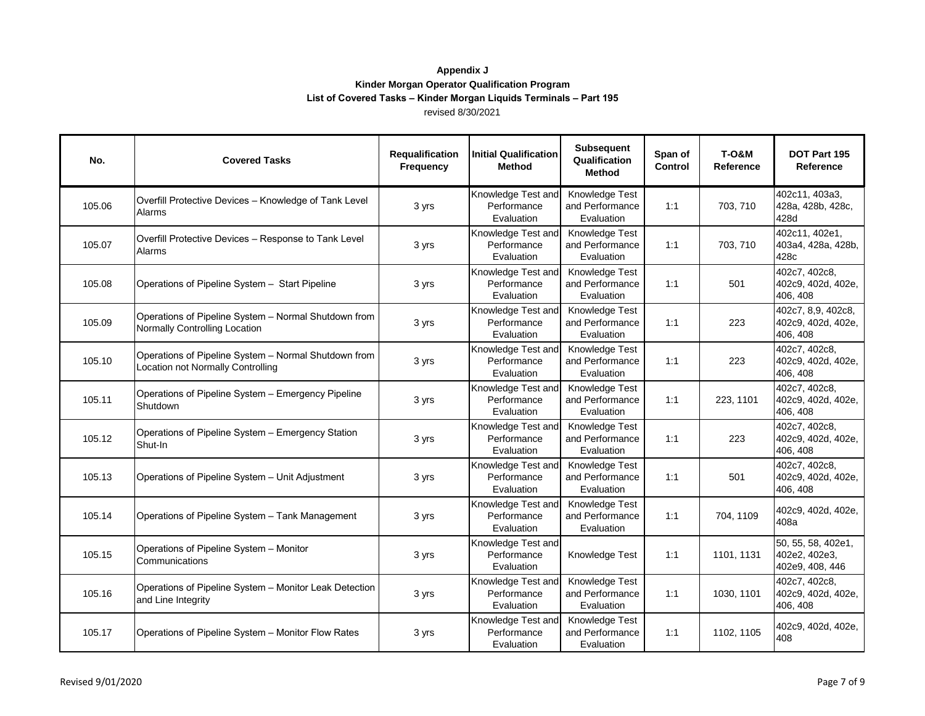| No.    | <b>Covered Tasks</b>                                                                      | Requalification<br><b>Frequency</b> | <b>Initial Qualification</b><br><b>Method</b>   | <b>Subsequent</b><br>Qualification<br><b>Method</b> | Span of<br><b>Control</b> | <b>T-0&amp;M</b><br>Reference | DOT Part 195<br>Reference                              |
|--------|-------------------------------------------------------------------------------------------|-------------------------------------|-------------------------------------------------|-----------------------------------------------------|---------------------------|-------------------------------|--------------------------------------------------------|
| 105.06 | Overfill Protective Devices - Knowledge of Tank Level<br>Alarms                           | 3 yrs                               | Knowledge Test and<br>Performance<br>Evaluation | Knowledge Test<br>and Performance<br>Evaluation     | 1:1                       | 703, 710                      | 402c11, 403a3,<br>428a, 428b, 428c,<br>428d            |
| 105.07 | Overfill Protective Devices - Response to Tank Level<br>Alarms                            | 3 yrs                               | Knowledge Test and<br>Performance<br>Evaluation | Knowledge Test<br>and Performance<br>Evaluation     | 1:1                       | 703, 710                      | 402c11, 402e1,<br>403a4, 428a, 428b,<br>428c           |
| 105.08 | Operations of Pipeline System - Start Pipeline                                            | 3 yrs                               | Knowledge Test and<br>Performance<br>Evaluation | Knowledge Test<br>and Performance<br>Evaluation     | 1:1                       | 501                           | 402c7, 402c8,<br>402c9, 402d, 402e,<br>406, 408        |
| 105.09 | Operations of Pipeline System - Normal Shutdown from<br>Normally Controlling Location     | 3 yrs                               | Knowledge Test and<br>Performance<br>Evaluation | Knowledge Test<br>and Performance<br>Evaluation     | 1:1                       | 223                           | 402c7, 8,9, 402c8,<br>402c9, 402d, 402e,<br>406, 408   |
| 105.10 | Operations of Pipeline System - Normal Shutdown from<br>Location not Normally Controlling | 3 yrs                               | Knowledge Test and<br>Performance<br>Evaluation | Knowledge Test<br>and Performance<br>Evaluation     | 1:1                       | 223                           | 402c7, 402c8,<br>402c9, 402d, 402e,<br>406, 408        |
| 105.11 | Operations of Pipeline System - Emergency Pipeline<br>Shutdown                            | 3 yrs                               | Knowledge Test and<br>Performance<br>Evaluation | Knowledge Test<br>and Performance<br>Evaluation     | 1:1                       | 223, 1101                     | 402c7, 402c8,<br>402c9, 402d, 402e,<br>406, 408        |
| 105.12 | Operations of Pipeline System - Emergency Station<br>Shut-In                              | 3 yrs                               | Knowledge Test and<br>Performance<br>Evaluation | Knowledge Test<br>and Performance<br>Evaluation     | 1:1                       | 223                           | 402c7, 402c8,<br>402c9, 402d, 402e,<br>406, 408        |
| 105.13 | Operations of Pipeline System - Unit Adjustment                                           | 3 yrs                               | Knowledge Test and<br>Performance<br>Evaluation | Knowledge Test<br>and Performance<br>Evaluation     | 1:1                       | 501                           | 402c7, 402c8,<br>402c9, 402d, 402e,<br>406, 408        |
| 105.14 | Operations of Pipeline System - Tank Management                                           | 3 yrs                               | Knowledge Test and<br>Performance<br>Evaluation | Knowledge Test<br>and Performance<br>Evaluation     | 1:1                       | 704, 1109                     | 402c9, 402d, 402e,<br>408a                             |
| 105.15 | Operations of Pipeline System - Monitor<br>Communications                                 | 3 yrs                               | Knowledge Test and<br>Performance<br>Evaluation | Knowledge Test                                      | 1:1                       | 1101, 1131                    | 50, 55, 58, 402e1,<br>402e2, 402e3,<br>402e9, 408, 446 |
| 105.16 | Operations of Pipeline System - Monitor Leak Detection<br>and Line Integrity              | 3 yrs                               | Knowledge Test and<br>Performance<br>Evaluation | Knowledge Test<br>and Performance<br>Evaluation     | 1:1                       | 1030, 1101                    | 402c7, 402c8,<br>402c9, 402d, 402e,<br>406, 408        |
| 105.17 | Operations of Pipeline System - Monitor Flow Rates                                        | 3 yrs                               | Knowledge Test and<br>Performance<br>Evaluation | Knowledge Test<br>and Performance<br>Evaluation     | 1:1                       | 1102, 1105                    | 402c9, 402d, 402e,<br>408                              |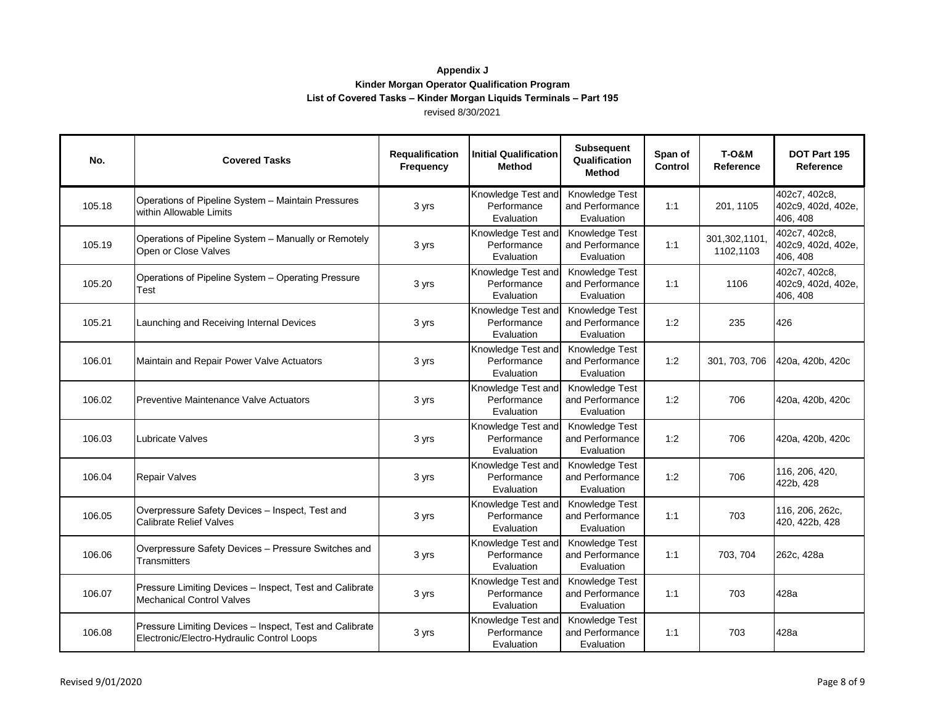| No.    | <b>Covered Tasks</b>                                                                                  | Requalification<br>Frequency | <b>Initial Qualification</b><br>Method          | <b>Subsequent</b><br>Qualification<br><b>Method</b> | Span of<br><b>Control</b> | <b>T-0&amp;M</b><br>Reference | DOT Part 195<br>Reference                       |
|--------|-------------------------------------------------------------------------------------------------------|------------------------------|-------------------------------------------------|-----------------------------------------------------|---------------------------|-------------------------------|-------------------------------------------------|
| 105.18 | Operations of Pipeline System - Maintain Pressures<br>within Allowable Limits                         | 3 yrs                        | Knowledge Test and<br>Performance<br>Evaluation | Knowledge Test<br>and Performance<br>Evaluation     | 1:1                       | 201, 1105                     | 402c7, 402c8,<br>402c9, 402d, 402e,<br>406, 408 |
| 105.19 | Operations of Pipeline System - Manually or Remotely<br>Open or Close Valves                          | 3 yrs                        | Knowledge Test and<br>Performance<br>Evaluation | Knowledge Test<br>and Performance<br>Evaluation     | 1:1                       | 301,302,1101,<br>1102,1103    | 402c7, 402c8,<br>402c9, 402d, 402e,<br>406, 408 |
| 105.20 | Operations of Pipeline System - Operating Pressure<br>Test                                            | 3 yrs                        | Knowledge Test and<br>Performance<br>Evaluation | Knowledge Test<br>and Performance<br>Evaluation     | 1:1                       | 1106                          | 402c7, 402c8,<br>402c9, 402d, 402e,<br>406, 408 |
| 105.21 | Launching and Receiving Internal Devices                                                              | 3 yrs                        | Knowledge Test and<br>Performance<br>Evaluation | Knowledge Test<br>and Performance<br>Evaluation     | 1:2                       | 235                           | 426                                             |
| 106.01 | Maintain and Repair Power Valve Actuators                                                             | 3 yrs                        | Knowledge Test and<br>Performance<br>Evaluation | Knowledge Test<br>and Performance<br>Evaluation     | 1:2                       | 301, 703, 706                 | 420a, 420b, 420c                                |
| 106.02 | Preventive Maintenance Valve Actuators                                                                | 3 yrs                        | Knowledge Test and<br>Performance<br>Evaluation | Knowledge Test<br>and Performance<br>Evaluation     | 1:2                       | 706                           | 420a, 420b, 420c                                |
| 106.03 | Lubricate Valves                                                                                      | 3 yrs                        | Knowledge Test and<br>Performance<br>Evaluation | Knowledge Test<br>and Performance<br>Evaluation     | 1:2                       | 706                           | 420a, 420b, 420c                                |
| 106.04 | <b>Repair Valves</b>                                                                                  | 3 yrs                        | Knowledge Test and<br>Performance<br>Evaluation | Knowledge Test<br>and Performance<br>Evaluation     | 1:2                       | 706                           | 116, 206, 420,<br>422b, 428                     |
| 106.05 | Overpressure Safety Devices - Inspect, Test and<br><b>Calibrate Relief Valves</b>                     | 3 yrs                        | Knowledge Test and<br>Performance<br>Evaluation | Knowledge Test<br>and Performance<br>Evaluation     | 1:1                       | 703                           | 116, 206, 262c,<br>420, 422b, 428               |
| 106.06 | Overpressure Safety Devices - Pressure Switches and<br><b>Transmitters</b>                            | 3 yrs                        | Knowledge Test and<br>Performance<br>Evaluation | Knowledge Test<br>and Performance<br>Evaluation     | 1:1                       | 703.704                       | 262c, 428a                                      |
| 106.07 | Pressure Limiting Devices - Inspect, Test and Calibrate<br><b>Mechanical Control Valves</b>           | 3 yrs                        | Knowledge Test and<br>Performance<br>Evaluation | Knowledge Test<br>and Performance<br>Evaluation     | 1:1                       | 703                           | 428a                                            |
| 106.08 | Pressure Limiting Devices - Inspect, Test and Calibrate<br>Electronic/Electro-Hydraulic Control Loops | 3 yrs                        | Knowledge Test and<br>Performance<br>Evaluation | Knowledge Test<br>and Performance<br>Evaluation     | 1:1                       | 703                           | 428a                                            |